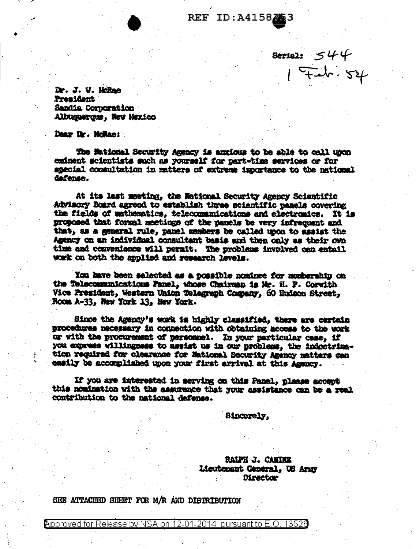REF ID:A4158753

Serial:  $544$ <br> $741$ <br> $741$ <br> $741$ 

Dr. J. W. McRae President Sandia Corporation Albuquerque, Hew Mexico

Dear Dr. McRae:

The Maticual Security Agency is anxious to be able to call upon eminent scientists such as yourself for part-time services or for special consultation in matters of extreme importance to the national dafense.

At its last meeting, the National Security Agency Scientific Advisory Board agreed to establish three scientific panels covering the fields of mathematics, telecommunications and electronics. It is proposed that formal meetings of the panels be very infrequent and that, as a general rule, panel members be called upon to assist the Agency on an individual consultant basis and then only as their own time and convenience will permit. The problems involved can entail work on both the applied and research levels.

You have been selected as a possible nominee for membership on the Telecommunications Panel, whose Chairman is Mr. H. P. Corwith Vice President, Western Union Telegraph Company, 60 Hudson Street, Room A-33, New York 13, New York.

Since the Agency's work is highly classified, there are certain procedures necessary in connection with obtaining access to the work or with the procurement of personnel. In your particular case, if you express willingness to assist us in our problems, the indoctrination required for clearance for Mational Security Amency matters can easily be accomplished upon your first arrival at this Agency.

If you are interested in serving on this Panel, please accept this nomination with the assurance that your assistance can be a real contribution to the national defense.

Sincerely.

**RALPH J. CANINE** Lieutenant General, US Army Director

SEE ATTACHED SHEET FOR M/R AND DISTRIBUTION

Approved for Release by NSA on 12-01-2014 pursuant to E.O. 13520